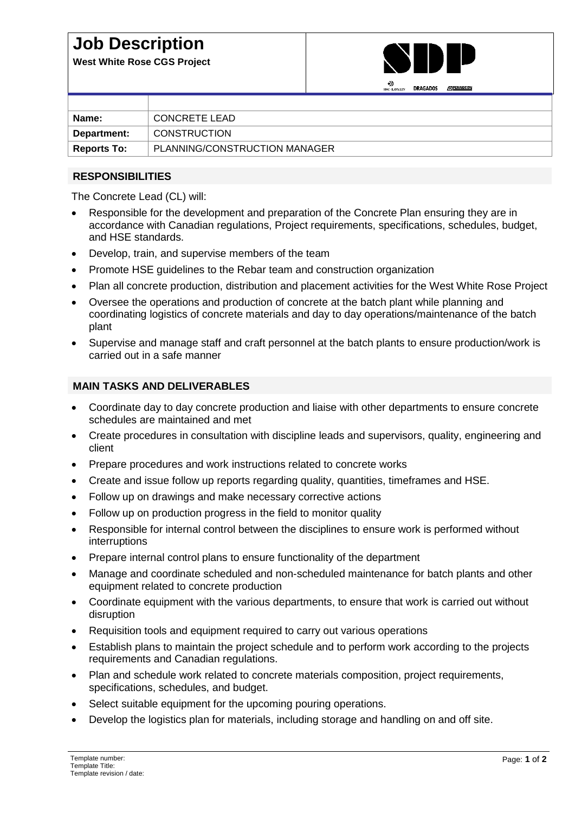## **Job Description**

**West White Rose CGS Project**



| Name:              | CONCRETE LEAD                 |
|--------------------|-------------------------------|
|                    |                               |
| Department:        | <b>CONSTRUCTION</b>           |
|                    |                               |
|                    |                               |
| <b>Reports To:</b> | PLANNING/CONSTRUCTION MANAGER |
|                    |                               |

#### **RESPONSIBILITIES**

The Concrete Lead (CL) will:

- Responsible for the development and preparation of the Concrete Plan ensuring they are in accordance with Canadian regulations, Project requirements, specifications, schedules, budget, and HSE standards.
- Develop, train, and supervise members of the team
- Promote HSE guidelines to the Rebar team and construction organization
- Plan all concrete production, distribution and placement activities for the West White Rose Project
- Oversee the operations and production of concrete at the batch plant while planning and coordinating logistics of concrete materials and day to day operations/maintenance of the batch plant
- Supervise and manage staff and craft personnel at the batch plants to ensure production/work is carried out in a safe manner

#### **MAIN TASKS AND DELIVERABLES**

- Coordinate day to day concrete production and liaise with other departments to ensure concrete schedules are maintained and met
- Create procedures in consultation with discipline leads and supervisors, quality, engineering and client
- Prepare procedures and work instructions related to concrete works
- Create and issue follow up reports regarding quality, quantities, timeframes and HSE.
- Follow up on drawings and make necessary corrective actions
- Follow up on production progress in the field to monitor quality
- Responsible for internal control between the disciplines to ensure work is performed without interruptions
- Prepare internal control plans to ensure functionality of the department
- Manage and coordinate scheduled and non-scheduled maintenance for batch plants and other equipment related to concrete production
- Coordinate equipment with the various departments, to ensure that work is carried out without disruption
- Requisition tools and equipment required to carry out various operations
- Establish plans to maintain the project schedule and to perform work according to the projects requirements and Canadian regulations.
- Plan and schedule work related to concrete materials composition, project requirements, specifications, schedules, and budget.
- Select suitable equipment for the upcoming pouring operations.
- Develop the logistics plan for materials, including storage and handling on and off site.